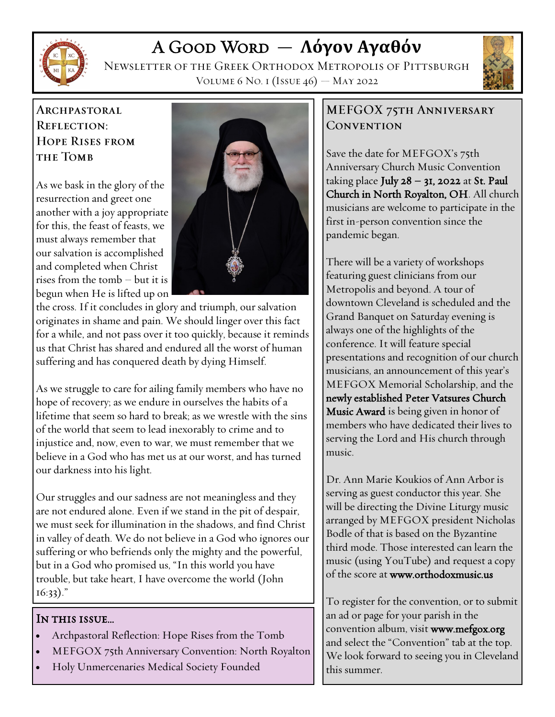

# A Good Word — **Λόγον Αγαθόν**

Newsletter of the Greek Orthodox Metropolis of Pittsburgh Volume 6 No. 1 (Issue 46) — May 2022



### **ARCHPASTORAL REFLECTION: HOPE RISES FROM THE TOMB**

As we bask in the glory of the resurrection and greet one another with a joy appropriate for this, the feast of feasts, we must always remember that our salvation is accomplished and completed when Christ rises from the tomb – but it is begun when He is lifted up on



the cross. If it concludes in glory and triumph, our salvation originates in shame and pain. We should linger over this fact for a while, and not pass over it too quickly, because it reminds us that Christ has shared and endured all the worst of human suffering and has conquered death by dying Himself.

As we struggle to care for ailing family members who have no hope of recovery; as we endure in ourselves the habits of a lifetime that seem so hard to break; as we wrestle with the sins of the world that seem to lead inexorably to crime and to injustice and, now, even to war, we must remember that we believe in a God who has met us at our worst, and has turned our darkness into his light.

Our struggles and our sadness are not meaningless and they are not endured alone. Even if we stand in the pit of despair, we must seek for illumination in the shadows, and find Christ in valley of death. We do not believe in a God who ignores our suffering or who befriends only the mighty and the powerful, but in a God who promised us, "In this world you have trouble, but take heart, I have overcome the world (John 16:33)."

#### IN THIS ISSUE...

- Archpastoral Reflection: Hope Rises from the Tomb
- MEFGOX 75th Anniversary Convention: North Royalton
- Holy Unmercenaries Medical Society Founded

#### MEFGOX 75TH ANNIVERSARY CONVENTION

Save the date for MEFGOX's 75th Anniversary Church Music Convention taking place July  $28 - 31$ , 2022 at St. Paul Church in North Royalton, OH. All church musicians are welcome to participate in the first in-person convention since the pandemic began.

There will be a variety of workshops featuring guest clinicians from our Metropolis and beyond. A tour of downtown Cleveland is scheduled and the Grand Banquet on Saturday evening is always one of the highlights of the conference. It will feature special presentations and recognition of our church musicians, an announcement of this year's MEFGOX Memorial Scholarship, and the newly established Peter Vatsures Church Music Award is being given in honor of members who have dedicated their lives to serving the Lord and His church through music.

Dr. Ann Marie Koukios of Ann Arbor is serving as guest conductor this year. She will be directing the Divine Liturgy music arranged by MEFGOX president Nicholas Bodle of that is based on the Byzantine third mode. Those interested can learn the music (using YouTube) and request a copy of the score at www.orthodoxmusic.us

To register for the convention, or to submit an ad or page for your parish in the convention album, visit www.mefgox.org and select the "Convention" tab at the top. We look forward to seeing you in Cleveland this summer.